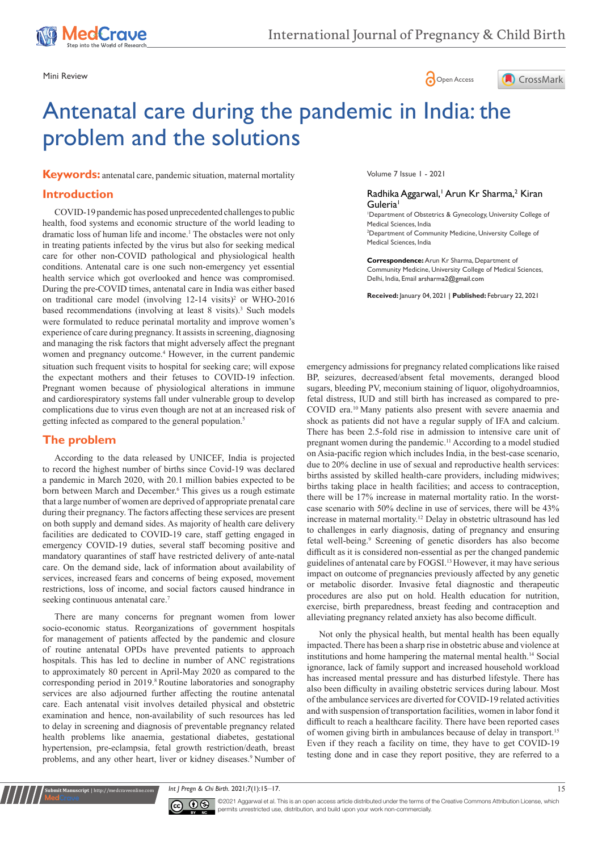





# Antenatal care during the pandemic in India: the problem and the solutions

**Keywords:** antenatal care, pandemic situation, maternal mortality

## **Introduction**

situation such frequent visits to hospital for seeking care; will expose the expectant mothers and their fetuses to COVID-19 infection. Pregnant women because of physiological alterations in immune and cardiorespiratory systems fall under vulnerable group to develop complications due to virus even though are not at an increased risk of getting infected as compared to the general population.<sup>5</sup> COVID-19 pandemic has posed unprecedented challenges to public health, food systems and economic structure of the world leading to dramatic loss of human life and income.<sup>1</sup> The obstacles were not only in treating patients infected by the virus but also for seeking medical care for other non-COVID pathological and physiological health conditions. Antenatal care is one such non-emergency yet essential health service which got overlooked and hence was compromised. During the pre-COVID times, antenatal care in India was either based on traditional care model (involving 12-14 visits)<sup>2</sup> or WHO-2016 based recommendations (involving at least 8 visits).<sup>3</sup> Such models were formulated to reduce perinatal mortality and improve women's experience of care during pregnancy. It assists in screening, diagnosing and managing the risk factors that might adversely affect the pregnant women and pregnancy outcome.<sup>4</sup> However, in the current pandemic

## **The problem**

According to the data released by UNICEF, India is projected to record the highest number of births since Covid-19 was declared a [pandemic](https://health.economictimes.indiatimes.com/tag/pandemic) in March 2020, with 20.1 million babies expected to be born between March and December.<sup>6</sup> This gives us a rough estimate that a large number of women are deprived of appropriate prenatal care during their pregnancy. The factors affecting these services are present on both supply and demand sides. As majority of health care delivery facilities are dedicated to COVID-19 care, staff getting engaged in emergency COVID-19 duties, several staff becoming positive and mandatory quarantines of staff have restricted delivery of ante-natal care. On the demand side, lack of information about availability of services, increased fears and concerns of being exposed, movement restrictions, loss of income, and social factors caused hindrance in seeking continuous antenatal care.<sup>7</sup>

There are many concerns for pregnant women from lower socio-economic status. Reorganizations of government hospitals for management of patients affected by the pandemic and closure of routine antenatal OPDs have prevented patients to approach hospitals. This has led to decline in number of ANC registrations to approximately 80 percent in April-May 2020 as compared to the corresponding period in 2019.<sup>8</sup> Routine laboratories and sonography services are also adjourned further affecting the routine antenatal care. Each antenatal visit involves detailed physical and obstetric examination and hence, non-availability of such resources has led to delay in screening and diagnosis of preventable pregnancy related health problems like anaemia, gestational diabetes, gestational hypertension, pre-eclampsia, fetal growth restriction/death, breast problems, and any other heart, liver or kidney diseases.<sup>9</sup> Number of Volume 7 Issue 1 - 2021

#### Radhika Aggarwal,<sup>1</sup> Arun Kr Sharma,<sup>2</sup> Kiran Guleria1

1 Department of Obstetrics & Gynecology, University College of Medical Sciences, India 2 Department of Community Medicine, University College of

Medical Sciences, India **Correspondence:** Arun Kr Sharma, Department of

Community Medicine, University College of Medical Sciences, Delhi, India, Email arsharma2@gmail.com

**Received:** January 04, 2021 | **Published:** February 22, 2021

emergency admissions for pregnancy related complications like raised BP, seizures, decreased/absent fetal movements, deranged blood sugars, bleeding PV, meconium staining of liquor, oligohydroamnios, fetal distress, IUD and still birth has increased as compared to pre-COVID era.10 Many patients also present with severe anaemia and shock as patients did not have a regular supply of IFA and calcium. There has been 2.5-fold rise in admission to intensive care unit of pregnant women during the pandemic.<sup>11</sup> According to a model studied on Asia-pacific region which includes India, in the best-case scenario, due to 20% decline in use of sexual and reproductive health services: births assisted by skilled health-care providers, including midwives; births taking place in health facilities; and access to contraception, there will be 17% increase in maternal mortality ratio. In the worstcase scenario with 50% decline in use of services, there will be 43% increase in maternal mortality.12 Delay in obstetric ultrasound has led to challenges in early diagnosis, dating of pregnancy and ensuring fetal well-being.<sup>9</sup> Screening of genetic disorders has also become difficult as it is considered non-essential as per the changed pandemic guidelines of antenatal care by FOGSI.13 However, it may have serious impact on outcome of pregnancies previously affected by any genetic or metabolic disorder. Invasive fetal diagnostic and therapeutic procedures are also put on hold. Health education for nutrition, exercise, birth preparedness, breast feeding and contraception and alleviating pregnancy related anxiety has also become difficult.

Not only the physical health, but mental health has been equally impacted. There has been a sharp rise in obstetric abuse and violence at institutions and home hampering the maternal mental health.14 Social ignorance, lack of family support and increased household workload has increased mental pressure and has disturbed lifestyle. There has also been difficulty in availing obstetric services during labour. Most of the ambulance services are diverted for COVID-19 related activities and with suspension of transportation facilities, women in labor fond it difficult to reach a healthcare facility. There have been reported cases of women giving birth in ambulances because of delay in transport.15 Even if they reach a facility on time, they have to get COVID-19 testing done and in case they report positive, they are referred to a

*Int J Pregn & Chi Birth.* 2021;7(1):15‒17. 15



**Kubmit Manuscript** | http://medcraveonline.com

©2021 Aggarwal et al. This is an open access article distributed under the terms of the [Creative Commons Attribution License,](https://creativecommons.org/licenses/by-nc/4.0/) which permits unrestricted use, distribution, and build upon your work non-commercially.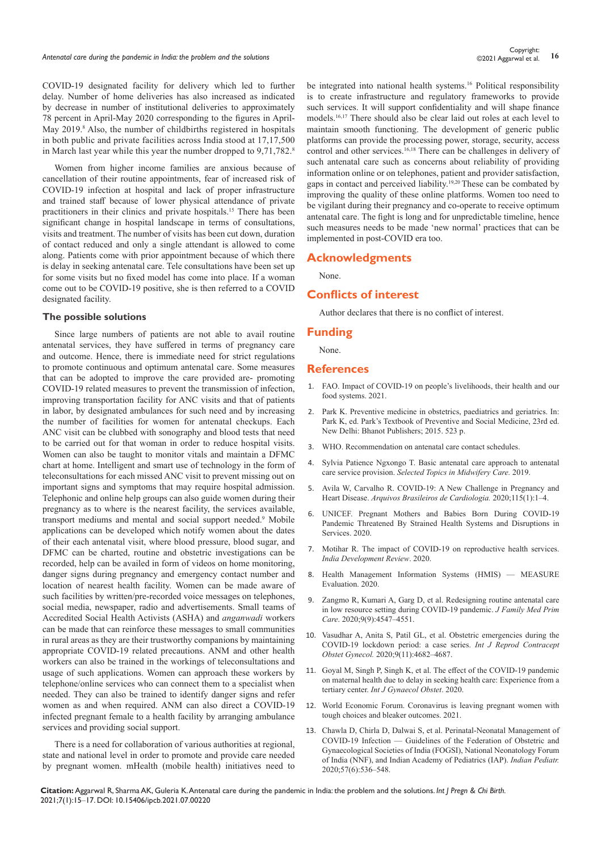COVID-19 designated facility for delivery which led to further delay. Number of home deliveries has also increased as indicated by decrease in number of institutional deliveries to approximately 78 percent in April-May 2020 corresponding to the figures in April-May 2019.<sup>8</sup> Also, the number of childbirths registered in hospitals in both public and private facilities across India stood at 17,17,500 in March last year while this year the number dropped to 9,71,782.<sup>8</sup>

Women from higher income families are anxious because of cancellation of their routine appointments, fear of increased risk of COVID-19 infection at hospital and lack of proper infrastructure and trained staff because of lower physical attendance of private practitioners in their clinics and private hospitals.<sup>15</sup> There has been significant change in hospital landscape in terms of consultations, visits and treatment. The number of visits has been cut down, duration of contact reduced and only a single attendant is allowed to come along. Patients come with prior appointment because of which there is delay in seeking antenatal care. Tele consultations have been set up for some visits but no fixed model has come into place. If a woman come out to be COVID-19 positive, she is then referred to a COVID designated facility.

#### **The possible solutions**

Since large numbers of patients are not able to avail routine antenatal services, they have suffered in terms of pregnancy care and outcome. Hence, there is immediate need for strict regulations to promote continuous and optimum antenatal care. Some measures that can be adopted to improve the care provided are- promoting COVID-19 related measures to prevent the transmission of infection, improving transportation facility for ANC visits and that of patients in labor, by designated ambulances for such need and by increasing the number of facilities for women for antenatal checkups. Each ANC visit can be clubbed with sonography and blood tests that need to be carried out for that woman in order to reduce hospital visits. Women can also be taught to monitor vitals and maintain a DFMC chart at home. Intelligent and smart use of technology in the form of teleconsultations for each missed ANC visit to prevent missing out on important signs and symptoms that may require hospital admission. Telephonic and online help groups can also guide women during their pregnancy as to where is the nearest facility, the services available, transport mediums and mental and social support needed.<sup>9</sup> Mobile applications can be developed which notify women about the dates of their each antenatal visit, where blood pressure, blood sugar, and DFMC can be charted, routine and obstetric investigations can be recorded, help can be availed in form of videos on home monitoring, danger signs during pregnancy and emergency contact number and location of nearest health facility. Women can be made aware of such facilities by written/pre-recorded voice messages on telephones, social media, newspaper, radio and advertisements. Small teams of Accredited Social Health Activists (ASHA) and *anganwadi* workers can be made that can reinforce these messages to small communities in rural areas as they are their trustworthy companions by maintaining appropriate COVID-19 related precautions. ANM and other health workers can also be trained in the workings of teleconsultations and usage of such applications. Women can approach these workers by telephone/online services who can connect them to a specialist when needed. They can also be trained to identify danger signs and refer women as and when required. ANM can also direct a COVID-19 infected pregnant female to a health facility by arranging ambulance services and providing social support.

There is a need for collaboration of various authorities at regional, state and national level in order to promote and provide care needed by pregnant women. mHealth (mobile health) initiatives need to

be integrated into national health systems.<sup>16</sup> Political responsibility is to create infrastructure and regulatory frameworks to provide such services. It will support confidentiality and will shape finance models.16,17 There should also be clear laid out roles at each level to maintain smooth functioning. The development of generic public platforms can provide the processing power, storage, security, access control and other services.<sup>16,18</sup> There can be challenges in delivery of such antenatal care such as concerns about reliability of providing information online or on telephones, patient and provider satisfaction, gaps in contact and perceived liability.19,20 These can be combated by improving the quality of these online platforms. Women too need to be vigilant during their pregnancy and co-operate to receive optimum antenatal care. The fight is long and for unpredictable timeline, hence such measures needs to be made 'new normal' practices that can be implemented in post-COVID era too.

#### **Acknowledgments**

None.

## **Conflicts of interest**

Author declares that there is no conflict of interest.

#### **Funding**

None.

### **References**

- 1. [FAO. Impact of COVID-19 on people's livelihoods, their health and our](http://www.fao.org/news/story/en/item/1313598/icode/)  [food systems. 2021.](http://www.fao.org/news/story/en/item/1313598/icode/)
- 2. [Park K. Preventive medicine in obstetrics, paediatrics and geriatrics. In:](https://www.worldcat.org/title/parks-textbook-of-preventive-and-social-medicine/oclc/936412409)  [Park K, ed. Park's Textbook of Preventive and Social Medicine, 23rd ed.](https://www.worldcat.org/title/parks-textbook-of-preventive-and-social-medicine/oclc/936412409)  [New Delhi: Bhanot Publishers; 2015. 523 p.](https://www.worldcat.org/title/parks-textbook-of-preventive-and-social-medicine/oclc/936412409)
- 3. WHO. Recommendation on antenatal care contact schedules.
- 4. [Sylvia Patience Ngxongo T. Basic antenatal care approach to antenatal](https://www.intechopen.com/books/selected-topics-in-midwifery-care/basic-antenatal-care-approach-to-antenatal-care-service-provision)  care service provision. *[Selected Topics in Midwifery Care.](https://www.intechopen.com/books/selected-topics-in-midwifery-care/basic-antenatal-care-approach-to-antenatal-care-service-provision)* 2019.
- 5. [Avila W, Carvalho R. COVID-19: A New Challenge in Pregnancy and](https://www.scielo.br/scielo.php?pid=S0066-782X2020000800001&script=sci_arttext&tlng=en)  Heart Disease. *[Arquivos Brasileiros de Cardiologia.](https://www.scielo.br/scielo.php?pid=S0066-782X2020000800001&script=sci_arttext&tlng=en)* 2020;115(1):1–4.
- 6. [UNICEF. Pregnant Mothers and Babies Born During COVID-19](https://www.unicef.org/press-releases/pregnant-mothers-and-babies-born-during-covid-19-pandemic-threatened-strained-health)  [Pandemic Threatened By Strained Health Systems and Disruptions in](https://www.unicef.org/press-releases/pregnant-mothers-and-babies-born-during-covid-19-pandemic-threatened-strained-health)  [Services. 2020.](https://www.unicef.org/press-releases/pregnant-mothers-and-babies-born-during-covid-19-pandemic-threatened-strained-health)
- 7. [Motihar R. The impact of COVID-19 on reproductive health services.](https://idronline.org/the-impact-of-covid-19-on-reproductive-health-services/)  *[India Development Review](https://idronline.org/the-impact-of-covid-19-on-reproductive-health-services/)*. 2020.
- 8. [Health Management Information Systems \(HMIS\) MEASURE](https://www.measureevaluation.org/resources/training/capacity-building-resources/health-management-information-systems-hmis-1)  [Evaluation. 2020.](https://www.measureevaluation.org/resources/training/capacity-building-resources/health-management-information-systems-hmis-1)
- 9. [Zangmo R, Kumari A, Garg D, et al. Redesigning routine antenatal care](https://www.jfmpc.com/article.asp?issn=2249-4863;year=2020;volume=9;issue=9;spage=4547;epage=4551;aulast=Zangmo)  [in low resource setting during COVID-19 pandemic.](https://www.jfmpc.com/article.asp?issn=2249-4863;year=2020;volume=9;issue=9;spage=4547;epage=4551;aulast=Zangmo) *J Family Med Prim Care*[. 2020;9\(9\):4547–4551.](https://www.jfmpc.com/article.asp?issn=2249-4863;year=2020;volume=9;issue=9;spage=4547;epage=4551;aulast=Zangmo)
- 10. [Vasudhar A, Anita S, Patil GL, et al. Obstetric emergencies during the](https://www.ijrcog.org/index.php/ijrcog/article/view/9078)  [COVID-19 lockdown period: a case series.](https://www.ijrcog.org/index.php/ijrcog/article/view/9078) *Int J Reprod Contracept Obstet Gynecol.* [2020;9\(11\):4682–4687.](https://www.ijrcog.org/index.php/ijrcog/article/view/9078)
- 11. [Goyal M, Singh P, Singh K, et al. The effect of the COVID-19 pandemic](https://obgyn.onlinelibrary.wiley.com/doi/full/10.1002/ijgo.13457)  [on maternal health due to delay in seeking health care: Experience from a](https://obgyn.onlinelibrary.wiley.com/doi/full/10.1002/ijgo.13457)  tertiary center. *[Int J Gynaecol Obstet](https://obgyn.onlinelibrary.wiley.com/doi/full/10.1002/ijgo.13457)*. 2020.
- 12. [World Economic Forum. Coronavirus is leaving pregnant women with](https://www.weforum.org/agenda/2020/05/women-children-covid19-srh-mortality-rates/)  [tough choices and bleaker outcomes. 2021.](https://www.weforum.org/agenda/2020/05/women-children-covid19-srh-mortality-rates/)
- 13. [Chawla D, Chirla D, Dalwai S, et al. Perinatal-Neonatal Management of](https://pubmed.ncbi.nlm.nih.gov/32238615/)  [COVID-19 Infection — Guidelines of the Federation of Obstetric and](https://pubmed.ncbi.nlm.nih.gov/32238615/)  [Gynaecological Societies of India \(FOGSI\), National Neonatology Forum](https://pubmed.ncbi.nlm.nih.gov/32238615/)  [of India \(NNF\), and Indian Academy of Pediatrics \(IAP\).](https://pubmed.ncbi.nlm.nih.gov/32238615/) *Indian Pediatr.* [2020;57\(6\):536–548.](https://pubmed.ncbi.nlm.nih.gov/32238615/)

**Citation:** Aggarwal R, Sharma AK, Guleria K. Antenatal care during the pandemic in India: the problem and the solutions. *Int J Pregn & Chi Birth.* 2021;7(1):15‒17. DOI: [10.15406/ipcb.2021.07.00220](https://doi.org/10.15406/ipcb.2021.07.00220)